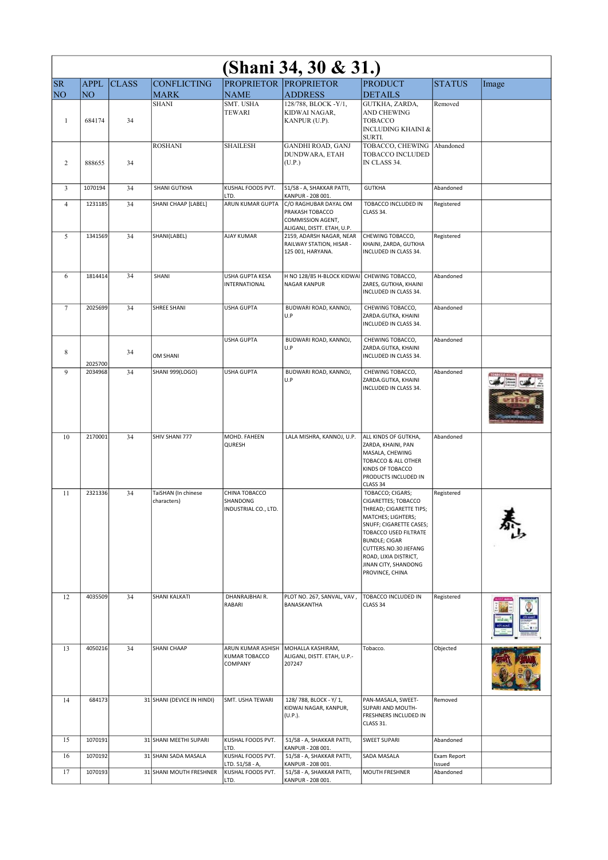| (Shani 34, 30 & 31.) |             |              |                                    |                                                   |                                                                                             |                                                                                                                                                                                                                                                                   |                       |       |  |  |
|----------------------|-------------|--------------|------------------------------------|---------------------------------------------------|---------------------------------------------------------------------------------------------|-------------------------------------------------------------------------------------------------------------------------------------------------------------------------------------------------------------------------------------------------------------------|-----------------------|-------|--|--|
| <b>SR</b>            | <b>APPL</b> | <b>CLASS</b> | <b>CONFLICTING</b>                 |                                                   | PROPRIETOR PROPRIETOR                                                                       | <b>PRODUCT</b>                                                                                                                                                                                                                                                    | <b>STATUS</b>         | Image |  |  |
| NO <sub>1</sub>      | NO          |              | <b>MARK</b><br><b>SHANI</b>        | <b>NAME</b><br>SMT. USHA                          | <b>ADDRESS</b><br>128/788, BLOCK -Y/1,                                                      | <b>DETAILS</b><br>GUTKHA, ZARDA,                                                                                                                                                                                                                                  | Removed               |       |  |  |
| $\mathbf{1}$         | 684174      | 34           |                                    | <b>TEWARI</b>                                     | KIDWAI NAGAR,<br>KANPUR (U.P).                                                              | AND CHEWING<br>TOBACCO<br><b>INCLUDING KHAINI &amp;</b><br>SURTI.                                                                                                                                                                                                 |                       |       |  |  |
| 2                    | 888655      | 34           | <b>ROSHANI</b>                     | <b>SHAILESH</b>                                   | <b>GANDHI ROAD, GANJ</b><br>DUNDWARA, ETAH<br>(U.P.)                                        | TOBACCO, CHEWING<br><b>TOBACCO INCLUDED</b><br>IN CLASS 34.                                                                                                                                                                                                       | Abandoned             |       |  |  |
| 3                    | 1070194     | 34           | <b>SHANI GUTKHA</b>                | KUSHAL FOODS PVT.<br>LTD.                         | 51/58 - A, SHAKKAR PATTI,<br>KANPUR - 208 001.                                              | <b>GUTKHA</b>                                                                                                                                                                                                                                                     | Abandoned             |       |  |  |
| $\overline{4}$       | 1231185     | 34           | SHANI CHAAP [LABEL]                | ARUN KUMAR GUPTA                                  | C/O RAGHUBAR DAYAL OM<br>PRAKASH TOBACCO<br>COMMISSION AGENT,<br>ALIGANJ, DISTT. ETAH, U.P. | TOBACCO INCLUDED IN<br>CLASS 34.                                                                                                                                                                                                                                  | Registered            |       |  |  |
| 5                    | 1341569     | 34           | SHANI(LABEL)                       | <b>AJAY KUMAR</b>                                 | 2159, ADARSH NAGAR, NEAR<br>RAILWAY STATION, HISAR -<br>125 001, HARYANA.                   | CHEWING TOBACCO,<br>KHAINI, ZARDA, GUTKHA<br>INCLUDED IN CLASS 34.                                                                                                                                                                                                | Registered            |       |  |  |
| 6                    | 1814414     | 34           | SHANI                              | <b>USHA GUPTA KESA</b><br>INTERNATIONAL           | H NO 128/85 H-BLOCK KIDWAI CHEWING TOBACCO,<br>NAGAR KANPUR                                 | ZARES, GUTKHA, KHAINI<br>INCLUDED IN CLASS 34.                                                                                                                                                                                                                    | Abandoned             |       |  |  |
| $7\phantom{.0}$      | 2025699     | 34           | SHREE SHANI                        | <b>USHA GUPTA</b>                                 | BUDWARI ROAD, KANNOJ,<br>U.P                                                                | CHEWING TOBACCO,<br>ZARDA.GUTKA, KHAINI<br>INCLUDED IN CLASS 34.                                                                                                                                                                                                  | Abandoned             |       |  |  |
| 8                    | 2025700     | 34           | OM SHANI                           | <b>USHA GUPTA</b>                                 | BUDWARI ROAD, KANNOJ,<br>U.P                                                                | CHEWING TOBACCO,<br>ZARDA.GUTKA, KHAINI<br>INCLUDED IN CLASS 34.                                                                                                                                                                                                  | Abandoned             |       |  |  |
| 9                    | 2034968     | 34           | <b>SHANI 999(LOGO)</b>             | <b>USHA GUPTA</b>                                 | BUDWARI ROAD, KANNOJ,<br>U.P                                                                | CHEWING TOBACCO,<br>ZARDA.GUTKA, KHAINI<br>INCLUDED IN CLASS 34.                                                                                                                                                                                                  | Abandoned             |       |  |  |
| 10                   | 2170001     | 34           | SHIV SHANI 777                     | MOHD. FAHEEN<br>QURESH                            | LALA MISHRA, KANNOJ, U.P.                                                                   | ALL KINDS OF GUTKHA,<br>ZARDA, KHAINI, PAN<br>MASALA, CHEWING<br>TOBACCO & ALL OTHER<br>KINDS OF TOBACCO<br>PRODUCTS INCLUDED IN<br>CLASS 34                                                                                                                      | Abandoned             |       |  |  |
| 11                   | 2321336     | 34           | TaiSHAN (In chinese<br>characters) | CHINA TOBACCO<br>SHANDONG<br>INDUSTRIAL CO., LTD. |                                                                                             | TOBACCO; CIGARS;<br>CIGARETTES; TOBACCO<br>THREAD; CIGARETTE TIPS;<br>MATCHES; LIGHTERS;<br>SNUFF; CIGARETTE CASES;<br>TOBACCO USED FILTRATE<br><b>BUNDLE; CIGAR</b><br>CUTTERS.NO.30 JIEFANG<br>ROAD, LIXIA DISTRICT,<br>JINAN CITY, SHANDONG<br>PROVINCE, CHINA | Registered            |       |  |  |
| 12                   | 4035509     | 34           | SHANI KALKATI                      | DHANRAJBHAI R.<br>RABARI                          | PLOT NO. 267, SANVAL, VAV,<br>BANASKANTHA                                                   | TOBACCO INCLUDED IN<br>CLASS 34                                                                                                                                                                                                                                   | Registered            |       |  |  |
| 13                   | 4050216     | 34           | SHANI CHAAP                        | ARUN KUMAR ASHISH<br>KUMAR TOBACCO<br>COMPANY     | MOHALLA KASHIRAM,<br>ALIGANJ, DISTT. ETAH, U.P.-<br>207247                                  | Tobacco.                                                                                                                                                                                                                                                          | Objected              |       |  |  |
| 14                   | 684173      |              | 31 SHANI (DEVICE IN HINDI)         | SMT. USHA TEWARI                                  | 128/788, BLOCK - Y/1,<br>KIDWAI NAGAR, KANPUR,<br>(U.P.).                                   | PAN-MASALA, SWEET-<br>SUPARI AND MOUTH-<br>FRESHNERS INCLUDED IN<br>CLASS 31.                                                                                                                                                                                     | Removed               |       |  |  |
| 15                   | 1070191     |              | 31 SHANI MEETHI SUPARI             | KUSHAL FOODS PVT.<br>LTD.                         | 51/58 - A, SHAKKAR PATTI,<br>KANPUR - 208 001.                                              | <b>SWEET SUPARI</b>                                                                                                                                                                                                                                               | Abandoned             |       |  |  |
| 16                   | 1070192     |              | 31 SHANI SADA MASALA               | KUSHAL FOODS PVT.<br>LTD. 51/58 - A,              | 51/58 - A, SHAKKAR PATTI,<br>KANPUR - 208 001.                                              | SADA MASALA                                                                                                                                                                                                                                                       | Exam Report<br>Issued |       |  |  |
| 17                   | 1070193     |              | 31 SHANI MOUTH FRESHNER            | KUSHAL FOODS PVT.<br>LTD.                         | 51/58 - A, SHAKKAR PATTI,<br>KANPUR - 208 001.                                              | MOUTH FRESHNER                                                                                                                                                                                                                                                    | Abandoned             |       |  |  |